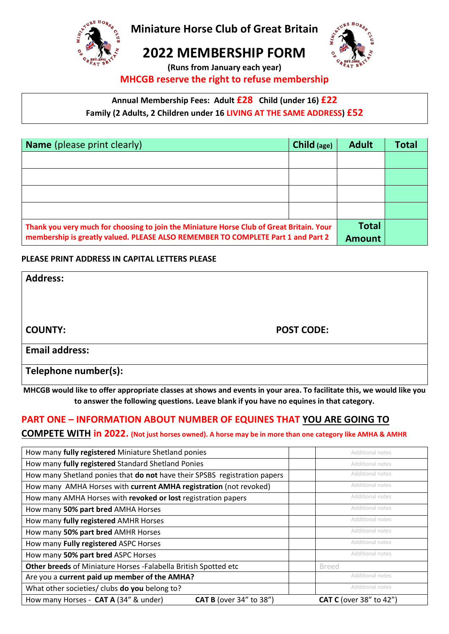

**Miniature Horse Club of Great Britain**

**2022 MEMBERSHIP FORM (Runs from January each year)**

## **MHCGB reserve the right to refuse membership**

# **Annual Membership Fees: Adult £28 Child (under 16) £22**

**Family (2 Adults, 2 Children under 16 LIVING AT THE SAME ADDRESS) £52**

| <b>Name</b> (please print clearly)                                                       | Child (age) | <b>Adult</b> | <b>Total</b> |
|------------------------------------------------------------------------------------------|-------------|--------------|--------------|
|                                                                                          |             |              |              |
|                                                                                          |             |              |              |
|                                                                                          |             |              |              |
|                                                                                          |             |              |              |
| Thank you very much for choosing to join the Miniature Horse Club of Great Britain. Your |             | <b>Total</b> |              |
| membership is greatly valued. PLEASE ALSO REMEMBER TO COMPLETE Part 1 and Part 2         |             |              |              |

## **PLEASE PRINT ADDRESS IN CAPITAL LETTERS PLEASE**

| <b>Address:</b>       |                   |
|-----------------------|-------------------|
|                       |                   |
| <b>COUNTY:</b>        | <b>POST CODE:</b> |
| <b>Email address:</b> |                   |
| Telephone number(s):  |                   |

**MHCGB would like to offer appropriate classes at shows and events in your area. To facilitate this, we would like you to answer the following questions. Leave blank if you have no equines in that category.**

## **PART ONE – INFORMATION ABOUT NUMBER OF EQUINES THAT YOU ARE GOING TO**

## **COMPETE WITH in 2022. (Not just horses owned). A horse may be in more than one category like AMHA & AMHR**

| How many fully registered Miniature Shetland ponies                       | <b>Additional notes</b>        |
|---------------------------------------------------------------------------|--------------------------------|
| How many fully registered Standard Shetland Ponies                        | <b>Additional notes</b>        |
| How many Shetland ponies that do not have their SPSBS registration papers | <b>Additional notes</b>        |
| How many AMHA Horses with current AMHA registration (not revoked)         | <b>Additional notes</b>        |
| How many AMHA Horses with revoked or lost registration papers             | Additional notes               |
| How many 50% part bred AMHA Horses                                        | <b>Additional notes</b>        |
| How many fully registered AMHR Horses                                     | <b>Additional notes</b>        |
| How many 50% part bred AMHR Horses                                        | Additional notes               |
| How many Fully registered ASPC Horses                                     | Additional notes               |
| How many 50% part bred ASPC Horses                                        | <b>Additional notes</b>        |
| Other breeds of Miniature Horses - Falabella British Spotted etc          | <b>Breed</b>                   |
| Are you a current paid up member of the AMHA?                             | Additional notes               |
| What other societies/ clubs do you belong to?                             | Additional notes               |
| How many Horses - CAT A (34" & under)<br><b>CAT B</b> (over 34" to 38")   | <b>CAT C</b> (over 38" to 42") |